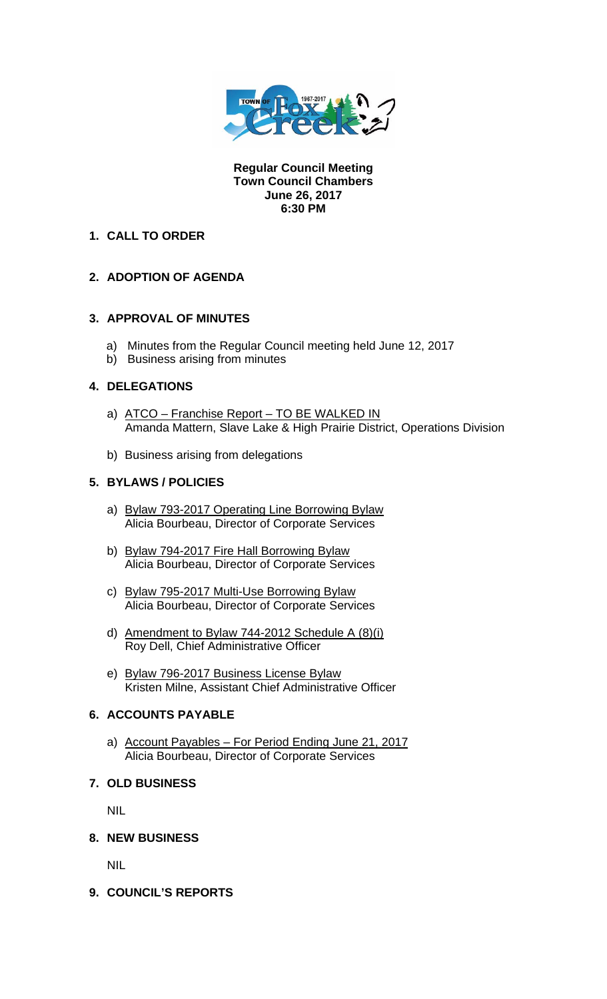

**Regular Council Meeting Town Council Chambers June 26, 2017 6:30 PM** 

## **1. CALL TO ORDER**

# **2. ADOPTION OF AGENDA**

### **3. APPROVAL OF MINUTES**

- a) Minutes from the Regular Council meeting held June 12, 2017
- b) Business arising from minutes

### **4. DELEGATIONS**

- a) ATCO Franchise Report TO BE WALKED IN Amanda Mattern, Slave Lake & High Prairie District, Operations Division
- b) Business arising from delegations

### **5. BYLAWS / POLICIES**

- a) Bylaw 793-2017 Operating Line Borrowing Bylaw Alicia Bourbeau, Director of Corporate Services
- b) Bylaw 794-2017 Fire Hall Borrowing Bylaw Alicia Bourbeau, Director of Corporate Services
- c) Bylaw 795-2017 Multi-Use Borrowing Bylaw Alicia Bourbeau, Director of Corporate Services
- d) Amendment to Bylaw 744-2012 Schedule A (8)(i) Roy Dell, Chief Administrative Officer
- e) Bylaw 796-2017 Business License Bylaw Kristen Milne, Assistant Chief Administrative Officer

### **6. ACCOUNTS PAYABLE**

a) Account Payables – For Period Ending June 21, 2017 Alicia Bourbeau, Director of Corporate Services

### **7. OLD BUSINESS**

NIL

#### **8. NEW BUSINESS**

NIL

**9. COUNCIL'S REPORTS**